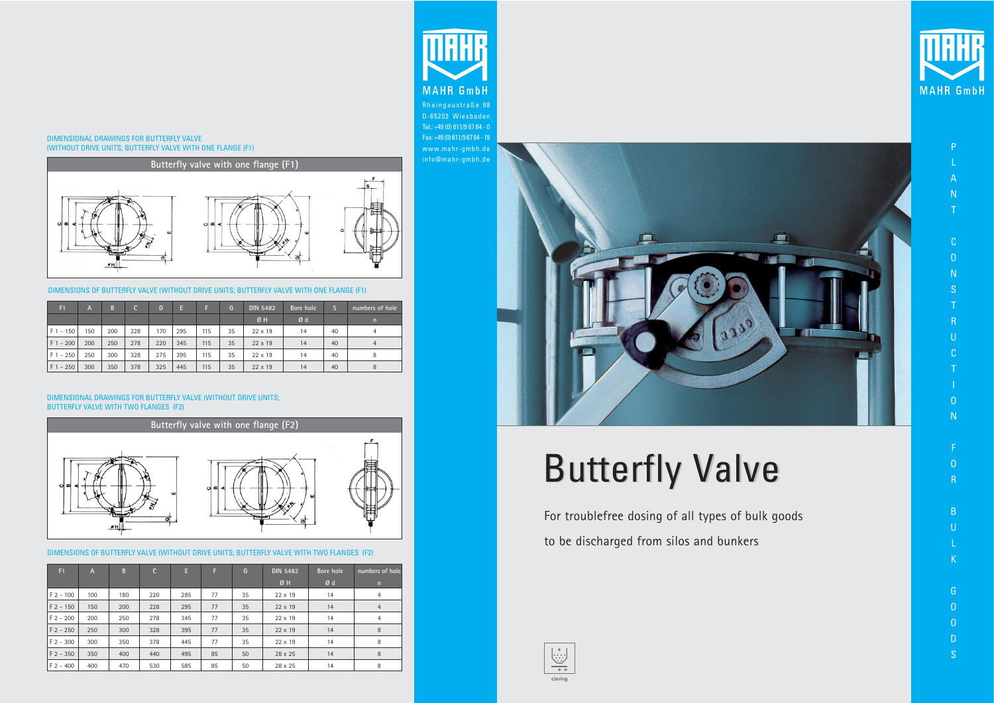For troublefree dosing of all types of bulk goods to be discharged from silos and bunkers





#### DIMENSIONAL DRAWINGS FOR BUTTERFLY VALVE (WITHOUT DRIVE UNITS; BUTTERFLY VALVE WITH ONE FLANGE (F1)

#### DIMENSIONAL DRAWINGS FOR BUTTERFLY VALVE (WITHOUT DRIVE UNITS; BUTTERFLY VALVE WITH TWO FLANGES (F2)



DIMENSIONS OF BUTTERFLY VALVE (WITHOUT DRIVE UNITS; BUTTERFLY VALVE WITH ONE FLANGE (F1)

| F <sub>1</sub> | A   | B   | C.  | D   | E   |     | G  | <b>DIN 5482</b> | Bore hole |    | numbers of hole |
|----------------|-----|-----|-----|-----|-----|-----|----|-----------------|-----------|----|-----------------|
|                |     |     |     |     |     |     |    | Ø H             | Ød        |    | n               |
| $F1 - 150$     | 150 | 200 | 228 | 170 | 295 | 115 | 35 | $22 \times 19$  | 14        | 40 | 4               |
| $F1 - 200$     | 200 | 250 | 278 | 220 | 345 | 115 | 35 | $22 \times 19$  | 14        | 40 | 4               |
| $F1 - 250$     | 250 | 300 | 328 | 275 | 395 | 115 | 35 | $22 \times 19$  | 14        | 40 | 8               |
| $F1 - 250$     | 300 | 350 | 378 | 325 | 445 | 115 | 35 | $22 \times 19$  | 14        | 40 | 8               |

- N T
- C
- O
- N S
- T R
- U
- C T
- I  $\overline{0}$
- N
- F  $\Omega$



DIMENSIONS OF BUTTERFLY VALVE (WITHOUT DRIVE UNITS; BUTTERFLY VALVE WITH TWO FLANGES (F2)

| F <sub>1</sub> | $\mathsf{A}$ | B   | $\mathbf{C}$ | E.  | F  | G  | <b>DIN 5482</b> | Bore hole | numbers of hole |
|----------------|--------------|-----|--------------|-----|----|----|-----------------|-----------|-----------------|
|                |              |     |              |     |    |    | Ø H             | Ød        | n               |
| $F$ 2 - 100    | 100          | 180 | 220          | 285 | 77 | 35 | $22 \times 19$  | 14        | $\overline{4}$  |
| $F$ 2 - 150    | 150          | 200 | 228          | 295 | 77 | 35 | $22 \times 19$  | 14        | $\overline{4}$  |
| $F$ 2 - 200    | 200          | 250 | 278          | 345 | 77 | 35 | $22 \times 19$  | 14        | $\overline{4}$  |
| $F$ 2 - 250    | 250          | 300 | 328          | 395 | 77 | 35 | $22 \times 19$  | 14        | 8               |
| $F$ 2 - 300    | 300          | 350 | 378          | 445 | 77 | 35 | $22 \times 19$  | 14        | 8               |
| $F$ 2 - 350    | 350          | 400 | 440          | 495 | 85 | 50 | 28 x 25         | 14        | 8               |
| $F$ 2 - 400    | 400          | 470 | 530          | 585 | 85 | 50 | 28 x 25         | 14        | 8               |



P

L A

R

- B
- U L
- K
- G O
- O D
- S

Rheingaustraße 98 D-65203 Wiesbaden Tel.: +49 (0) 611/9 67 64 - 0 Fax: +49 (0) 611/9 67 64 - 19 www.mahr-gmbh.de info@mahr-gmbh.de



# **Butterfly Valve**